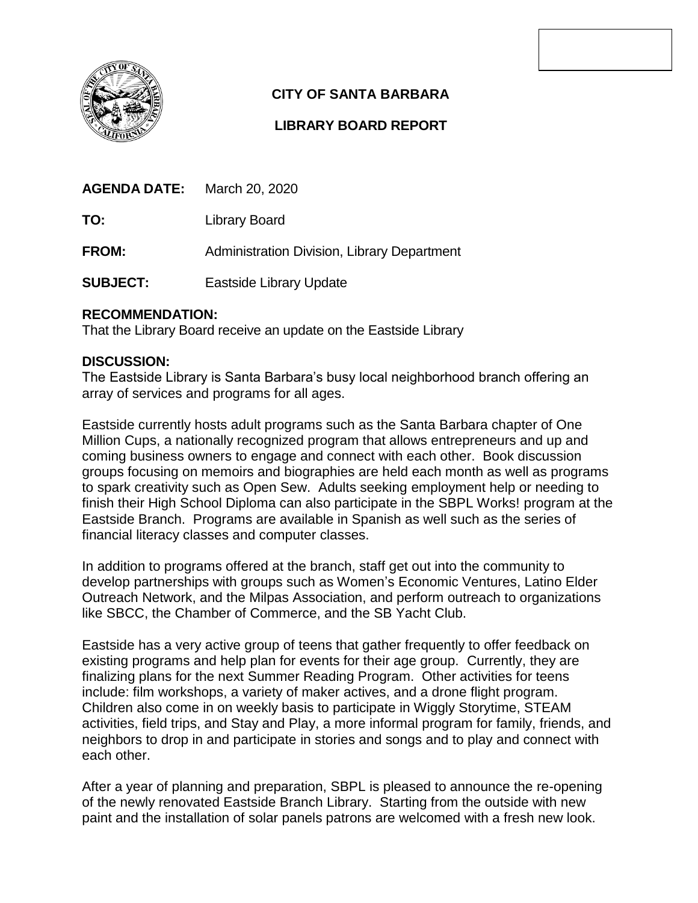

## **CITY OF SANTA BARBARA**

## **LIBRARY BOARD REPORT**

**TO:** Library Board

**FROM:** Administration Division, Library Department

**SUBJECT:** Eastside Library Update

## **RECOMMENDATION:**

That the Library Board receive an update on the Eastside Library

## **DISCUSSION:**

The Eastside Library is Santa Barbara's busy local neighborhood branch offering an array of services and programs for all ages.

Eastside currently hosts adult programs such as the Santa Barbara chapter of One Million Cups, a nationally recognized program that allows entrepreneurs and up and coming business owners to engage and connect with each other. Book discussion groups focusing on memoirs and biographies are held each month as well as programs to spark creativity such as Open Sew. Adults seeking employment help or needing to finish their High School Diploma can also participate in the SBPL Works! program at the Eastside Branch. Programs are available in Spanish as well such as the series of financial literacy classes and computer classes.

In addition to programs offered at the branch, staff get out into the community to develop partnerships with groups such as Women's Economic Ventures, Latino Elder Outreach Network, and the Milpas Association, and perform outreach to organizations like SBCC, the Chamber of Commerce, and the SB Yacht Club.

Eastside has a very active group of teens that gather frequently to offer feedback on existing programs and help plan for events for their age group. Currently, they are finalizing plans for the next Summer Reading Program. Other activities for teens include: film workshops, a variety of maker actives, and a drone flight program. Children also come in on weekly basis to participate in Wiggly Storytime, STEAM activities, field trips, and Stay and Play, a more informal program for family, friends, and neighbors to drop in and participate in stories and songs and to play and connect with each other.

After a year of planning and preparation, SBPL is pleased to announce the re-opening of the newly renovated Eastside Branch Library. Starting from the outside with new paint and the installation of solar panels patrons are welcomed with a fresh new look.